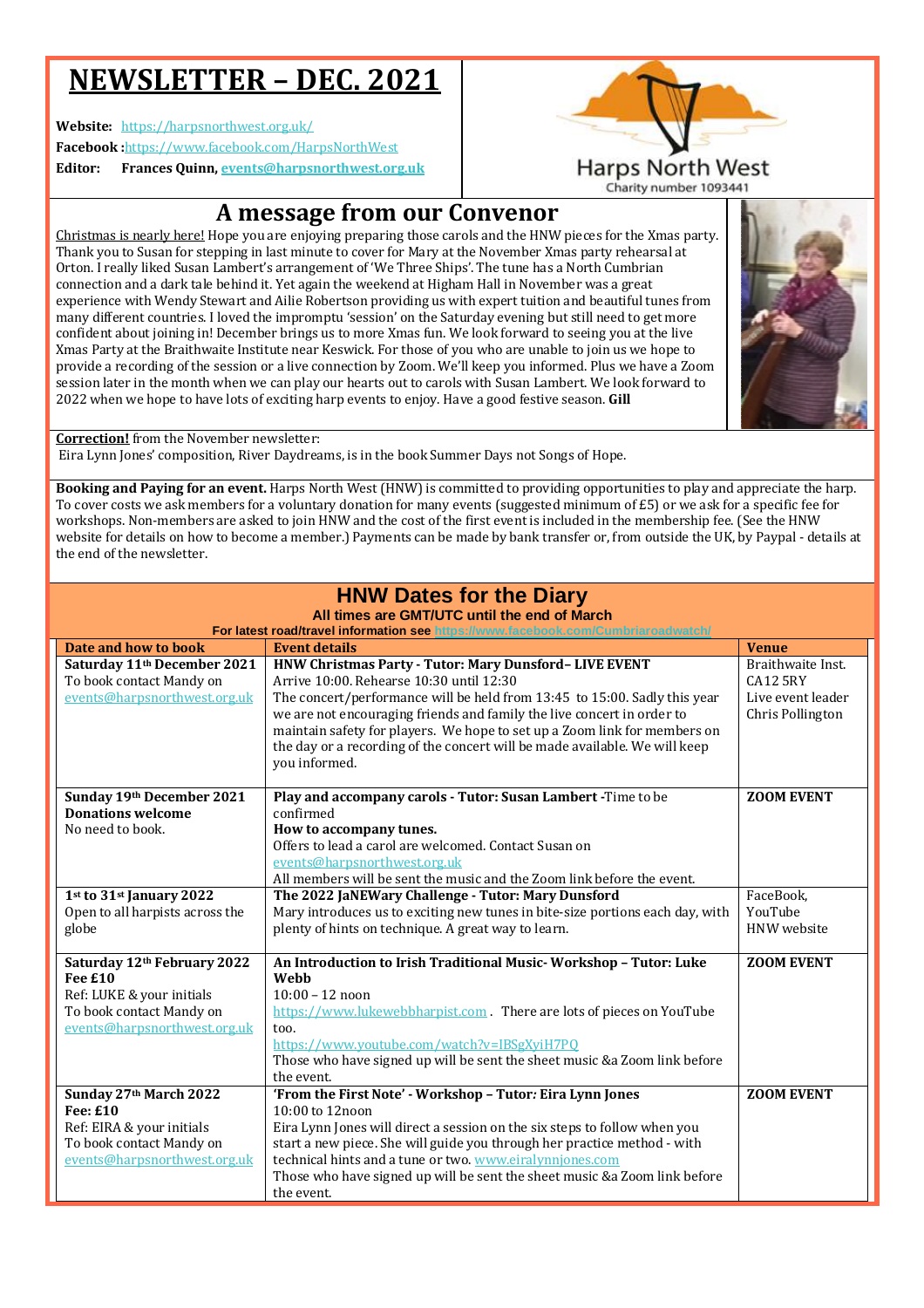# **NEWSLETTER – DEC. 2021**

**Website:** https://harpsnorthwest.org.uk/

**Facebook :**https://www.facebook.com/HarpsNorthWest

**Editor: Frances Quinn, events@harpsnorthwest.org.uk**



Christmas is nearly here! Hope you are enjoying preparing those carols and the HNW pieces for the Xmas party. Thank you to Susan for stepping in last minute to cover for Mary at the November Xmas party rehearsal at Orton. I really liked Susan Lambert's arrangement of 'We Three Ships'. The tune has a North Cumbrian connection and a dark tale behind it. Yet again the weekend at Higham Hall in November was a great experience with Wendy Stewart and Ailie Robertson providing us with expert tuition and beautiful tunes from many different countries. I loved the impromptu 'session' on the Saturday evening but still need to get more confident about joining in! December brings us to more Xmas fun. We look forward to seeing you at the live Xmas Party at the Braithwaite Institute near Keswick. For those of you who are unable to join us we hope to provide a recording of the session or a live connection by Zoom. We'll keep you informed. Plus we have a Zoom session later in the month when we can play our hearts out to carols with Susan Lambert. We look forward to 2022 when we hope to have lots of exciting harp events to enjoy. Have a good festive season. **Gill** 



**Harps North West** 

**Correction!** from the November newsletter:

Eira Lynn Jones' composition, River Daydreams, is in the book Summer Days not Songs of Hope.

the event.

**Booking and Paying for an event.** Harps North West (HNW) is committed to providing opportunities to play and appreciate the harp. To cover costs we ask members for a voluntary donation for many events (suggested minimum of £5) or we ask for a specific fee for workshops. Non-members are asked to join HNW and the cost of the first event is included in the membership fee. (See the HNW website for details on how to become a member.) Payments can be made by bank transfer or, from outside the UK, by Paypal - details at the end of the newsletter.

|                                                                                                     | <b>HNW Dates for the Diary</b><br>All times are GMT/UTC until the end of March<br>For latest road/travel information see https://www.facebook.com/Cumbriaroadwatch/                                                                                                                                                                                                                                                                   |                                                                               |
|-----------------------------------------------------------------------------------------------------|---------------------------------------------------------------------------------------------------------------------------------------------------------------------------------------------------------------------------------------------------------------------------------------------------------------------------------------------------------------------------------------------------------------------------------------|-------------------------------------------------------------------------------|
| Date and how to book                                                                                | <b>Event details</b>                                                                                                                                                                                                                                                                                                                                                                                                                  | <b>Venue</b>                                                                  |
| Saturday 11 <sup>th</sup> December 2021<br>To book contact Mandy on<br>events@harpsnorthwest.org.uk | HNW Christmas Party - Tutor: Mary Dunsford- LIVE EVENT<br>Arrive 10:00. Rehearse 10:30 until 12:30<br>The concert/performance will be held from 13:45 to 15:00. Sadly this year<br>we are not encouraging friends and family the live concert in order to<br>maintain safety for players. We hope to set up a Zoom link for members on<br>the day or a recording of the concert will be made available. We will keep<br>you informed. | Braithwaite Inst.<br><b>CA12 5RY</b><br>Live event leader<br>Chris Pollington |
| Sunday 19th December 2021                                                                           | Play and accompany carols - Tutor: Susan Lambert - Time to be                                                                                                                                                                                                                                                                                                                                                                         | <b>ZOOM EVENT</b>                                                             |
| <b>Donations welcome</b>                                                                            | confirmed                                                                                                                                                                                                                                                                                                                                                                                                                             |                                                                               |
| No need to book.                                                                                    | How to accompany tunes.                                                                                                                                                                                                                                                                                                                                                                                                               |                                                                               |
|                                                                                                     | Offers to lead a carol are welcomed. Contact Susan on                                                                                                                                                                                                                                                                                                                                                                                 |                                                                               |
|                                                                                                     | events@harpsnorthwest.org.uk                                                                                                                                                                                                                                                                                                                                                                                                          |                                                                               |
|                                                                                                     | All members will be sent the music and the Zoom link before the event.                                                                                                                                                                                                                                                                                                                                                                |                                                                               |
| 1st to 31st January 2022                                                                            | The 2022 JaNEWary Challenge - Tutor: Mary Dunsford                                                                                                                                                                                                                                                                                                                                                                                    | FaceBook.                                                                     |
| Open to all harpists across the                                                                     | Mary introduces us to exciting new tunes in bite-size portions each day, with                                                                                                                                                                                                                                                                                                                                                         | YouTube                                                                       |
| globe                                                                                               | plenty of hints on technique. A great way to learn.                                                                                                                                                                                                                                                                                                                                                                                   | HNW website                                                                   |
| Saturday 12th February 2022                                                                         | An Introduction to Irish Traditional Music-Workshop - Tutor: Luke                                                                                                                                                                                                                                                                                                                                                                     | <b>ZOOM EVENT</b>                                                             |
| Fee £10                                                                                             | Webb                                                                                                                                                                                                                                                                                                                                                                                                                                  |                                                                               |
| Ref: LUKE & your initials                                                                           | $10:00 - 12$ noon                                                                                                                                                                                                                                                                                                                                                                                                                     |                                                                               |
| To book contact Mandy on                                                                            | https://www.lukewebbharpist.com. There are lots of pieces on YouTube                                                                                                                                                                                                                                                                                                                                                                  |                                                                               |
| events@harpsnorthwest.org.uk                                                                        | too.                                                                                                                                                                                                                                                                                                                                                                                                                                  |                                                                               |
|                                                                                                     | https://www.youtube.com/watch?v=IBSgXyiH7PQ                                                                                                                                                                                                                                                                                                                                                                                           |                                                                               |
|                                                                                                     | Those who have signed up will be sent the sheet music &a Zoom link before                                                                                                                                                                                                                                                                                                                                                             |                                                                               |
|                                                                                                     | the event.                                                                                                                                                                                                                                                                                                                                                                                                                            |                                                                               |
| Sunday 27th March 2022                                                                              | 'From the First Note' - Workshop - Tutor: Eira Lynn Jones                                                                                                                                                                                                                                                                                                                                                                             | <b>ZOOM EVENT</b>                                                             |
| Fee: £10                                                                                            | $10:00$ to $12$ noon                                                                                                                                                                                                                                                                                                                                                                                                                  |                                                                               |
| Ref: EIRA & your initials                                                                           | Eira Lynn Jones will direct a session on the six steps to follow when you                                                                                                                                                                                                                                                                                                                                                             |                                                                               |
| To book contact Mandy on                                                                            | start a new piece. She will guide you through her practice method - with                                                                                                                                                                                                                                                                                                                                                              |                                                                               |
| events@harpsnorthwest.org.uk                                                                        | technical hints and a tune or two. www.eiralynniones.com                                                                                                                                                                                                                                                                                                                                                                              |                                                                               |

Those who have signed up will be sent the sheet music &a Zoom link before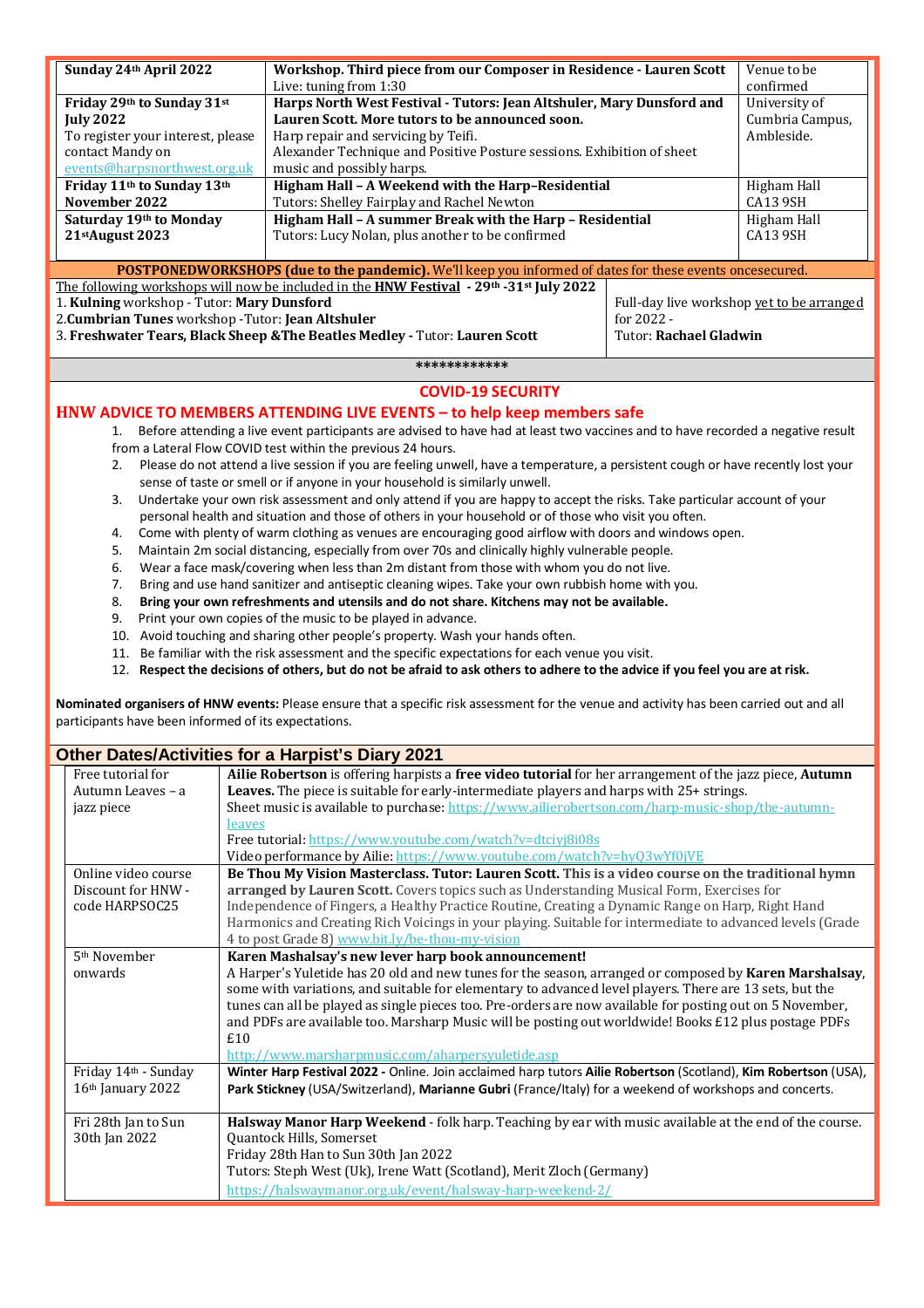| Sunday 24th April 2022                                                                                                                              | Workshop. Third piece from our Composer in Residence - Lauren Scott                                                              |                                                                        | Venue to be                               |  |
|-----------------------------------------------------------------------------------------------------------------------------------------------------|----------------------------------------------------------------------------------------------------------------------------------|------------------------------------------------------------------------|-------------------------------------------|--|
|                                                                                                                                                     | Live: tuning from 1:30                                                                                                           |                                                                        | confirmed<br>University of                |  |
| Friday 29th to Sunday 31st                                                                                                                          |                                                                                                                                  | Harps North West Festival - Tutors: Jean Altshuler, Mary Dunsford and  |                                           |  |
| <b>July 2022</b>                                                                                                                                    | Lauren Scott. More tutors to be announced soon.                                                                                  |                                                                        | Cumbria Campus,<br>Ambleside.             |  |
| To register your interest, please                                                                                                                   |                                                                                                                                  | Harp repair and servicing by Teifi.                                    |                                           |  |
| contact Mandy on                                                                                                                                    |                                                                                                                                  | Alexander Technique and Positive Posture sessions. Exhibition of sheet |                                           |  |
| events@harpsnorthwest.org.uk                                                                                                                        |                                                                                                                                  | music and possibly harps.                                              |                                           |  |
| Friday 11th to Sunday 13th                                                                                                                          |                                                                                                                                  | Higham Hall - A Weekend with the Harp-Residential<br>Higham Hall       |                                           |  |
| November 2022                                                                                                                                       | Tutors: Shelley Fairplay and Rachel Newton                                                                                       |                                                                        |                                           |  |
| Saturday 19th to Monday                                                                                                                             | Higham Hall - A summer Break with the Harp - Residential                                                                         |                                                                        | Higham Hall                               |  |
| 21stAugust 2023                                                                                                                                     | Tutors: Lucy Nolan, plus another to be confirmed                                                                                 |                                                                        | CA13 9SH                                  |  |
|                                                                                                                                                     |                                                                                                                                  |                                                                        |                                           |  |
| POSTPONEDWORKSHOPS (due to the pandemic). We'll keep you informed of dates for these events oncesecured.                                            |                                                                                                                                  |                                                                        |                                           |  |
|                                                                                                                                                     | The following workshops will now be included in the HNW Festival - 29th -31st July 2022                                          |                                                                        |                                           |  |
| 1. Kulning workshop - Tutor: Mary Dunsford                                                                                                          |                                                                                                                                  |                                                                        | Full-day live workshop yet to be arranged |  |
| 2. Cumbrian Tunes workshop - Tutor: Jean Altshuler                                                                                                  |                                                                                                                                  | for 2022 -                                                             |                                           |  |
|                                                                                                                                                     | 3. Freshwater Tears, Black Sheep & The Beatles Medley - Tutor: Lauren Scott                                                      | <b>Tutor: Rachael Gladwin</b>                                          |                                           |  |
|                                                                                                                                                     |                                                                                                                                  |                                                                        |                                           |  |
|                                                                                                                                                     | ************                                                                                                                     |                                                                        |                                           |  |
|                                                                                                                                                     | <b>COVID-19 SECURITY</b>                                                                                                         |                                                                        |                                           |  |
|                                                                                                                                                     | HNW ADVICE TO MEMBERS ATTENDING LIVE EVENTS - to help keep members safe                                                          |                                                                        |                                           |  |
| Before attending a live event participants are advised to have had at least two vaccines and to have recorded a negative result<br>1.               |                                                                                                                                  |                                                                        |                                           |  |
|                                                                                                                                                     | from a Lateral Flow COVID test within the previous 24 hours.                                                                     |                                                                        |                                           |  |
| 2.                                                                                                                                                  | Please do not attend a live session if you are feeling unwell, have a temperature, a persistent cough or have recently lost your |                                                                        |                                           |  |
|                                                                                                                                                     | sense of taste or smell or if anyone in your household is similarly unwell.                                                      |                                                                        |                                           |  |
| Undertake your own risk assessment and only attend if you are happy to accept the risks. Take particular account of your<br>3.                      |                                                                                                                                  |                                                                        |                                           |  |
|                                                                                                                                                     | personal health and situation and those of others in your household or of those who visit you often.                             |                                                                        |                                           |  |
| Come with plenty of warm clothing as venues are encouraging good airflow with doors and windows open.<br>4.                                         |                                                                                                                                  |                                                                        |                                           |  |
| Maintain 2m social distancing, especially from over 70s and clinically highly vulnerable people.                                                    |                                                                                                                                  |                                                                        |                                           |  |
| 5.                                                                                                                                                  |                                                                                                                                  |                                                                        |                                           |  |
| Wear a face mask/covering when less than 2m distant from those with whom you do not live.<br>6.                                                     |                                                                                                                                  |                                                                        |                                           |  |
| Bring and use hand sanitizer and antiseptic cleaning wipes. Take your own rubbish home with you.<br>7.                                              |                                                                                                                                  |                                                                        |                                           |  |
| Bring your own refreshments and utensils and do not share. Kitchens may not be available.<br>8.                                                     |                                                                                                                                  |                                                                        |                                           |  |
| Print your own copies of the music to be played in advance.<br>9.<br>10. Avoid touching and sharing other people's property. Wash your hands often. |                                                                                                                                  |                                                                        |                                           |  |
|                                                                                                                                                     |                                                                                                                                  |                                                                        |                                           |  |

- 11. Be familiar with the risk assessment and the specific expectations for each venue you visit.
- 12. **Respect the decisions of others, but do not be afraid to ask others to adhere to the advice if you feel you are at risk.**

**Nominated organisers of HNW events:** Please ensure that a specific risk assessment for the venue and activity has been carried out and all participants have been informed of its expectations.

### **Other Dates/Activities for a Harpist's Diary 2021**

| Free tutorial for        | Ailie Robertson is offering harpists a free video tutorial for her arrangement of the jazz piece, Autumn                                                                                                                                                                                                                                                                                                                                       |
|--------------------------|------------------------------------------------------------------------------------------------------------------------------------------------------------------------------------------------------------------------------------------------------------------------------------------------------------------------------------------------------------------------------------------------------------------------------------------------|
| Autumn Leaves - a        | Leaves. The piece is suitable for early-intermediate players and harps with 25+ strings.                                                                                                                                                                                                                                                                                                                                                       |
| jazz piece               | Sheet music is available to purchase: https://www.ailierobertson.com/harp-music-shop/the-autumn-                                                                                                                                                                                                                                                                                                                                               |
|                          | leaves                                                                                                                                                                                                                                                                                                                                                                                                                                         |
|                          | Free tutorial: https://www.youtube.com/watch?v=dtciyj8i08s                                                                                                                                                                                                                                                                                                                                                                                     |
|                          | Video performance by Ailie: https://www.youtube.com/watch?v=hy03wYf0jVE                                                                                                                                                                                                                                                                                                                                                                        |
| Online video course      | Be Thou My Vision Masterclass. Tutor: Lauren Scott. This is a video course on the traditional hymn                                                                                                                                                                                                                                                                                                                                             |
| Discount for HNW -       | arranged by Lauren Scott. Covers topics such as Understanding Musical Form, Exercises for                                                                                                                                                                                                                                                                                                                                                      |
| code HARPSOC25           | Independence of Fingers, a Healthy Practice Routine, Creating a Dynamic Range on Harp, Right Hand                                                                                                                                                                                                                                                                                                                                              |
|                          | Harmonics and Creating Rich Voicings in your playing. Suitable for intermediate to advanced levels (Grade                                                                                                                                                                                                                                                                                                                                      |
|                          | 4 to post Grade 8) www.bit.ly/be-thou-my-vision                                                                                                                                                                                                                                                                                                                                                                                                |
| 5 <sup>th</sup> November | Karen Mashalsay's new lever harp book announcement!                                                                                                                                                                                                                                                                                                                                                                                            |
| onwards                  | A Harper's Yuletide has 20 old and new tunes for the season, arranged or composed by Karen Marshalsay,<br>some with variations, and suitable for elementary to advanced level players. There are 13 sets, but the<br>tunes can all be played as single pieces too. Pre-orders are now available for posting out on 5 November,<br>and PDFs are available too. Marsharp Music will be posting out worldwide! Books £12 plus postage PDFs<br>£10 |
|                          | http://www.marsharpmusic.com/aharpersyuletide.asp                                                                                                                                                                                                                                                                                                                                                                                              |
| Friday 14th - Sunday     | Winter Harp Festival 2022 - Online. Join acclaimed harp tutors Ailie Robertson (Scotland), Kim Robertson (USA),                                                                                                                                                                                                                                                                                                                                |
| $16th$ January 2022      | Park Stickney (USA/Switzerland), Marianne Gubri (France/Italy) for a weekend of workshops and concerts.                                                                                                                                                                                                                                                                                                                                        |
|                          |                                                                                                                                                                                                                                                                                                                                                                                                                                                |
| Fri 28th Jan to Sun      | Halsway Manor Harp Weekend - folk harp. Teaching by ear with music available at the end of the course.                                                                                                                                                                                                                                                                                                                                         |
| 30th Jan 2022            | Quantock Hills, Somerset                                                                                                                                                                                                                                                                                                                                                                                                                       |
|                          | Friday 28th Han to Sun 30th Jan 2022                                                                                                                                                                                                                                                                                                                                                                                                           |
|                          | Tutors: Steph West (Uk), Irene Watt (Scotland), Merit Zloch (Germany)                                                                                                                                                                                                                                                                                                                                                                          |
|                          | https://halswaymanor.org.uk/event/halsway-harp-weekend-2/                                                                                                                                                                                                                                                                                                                                                                                      |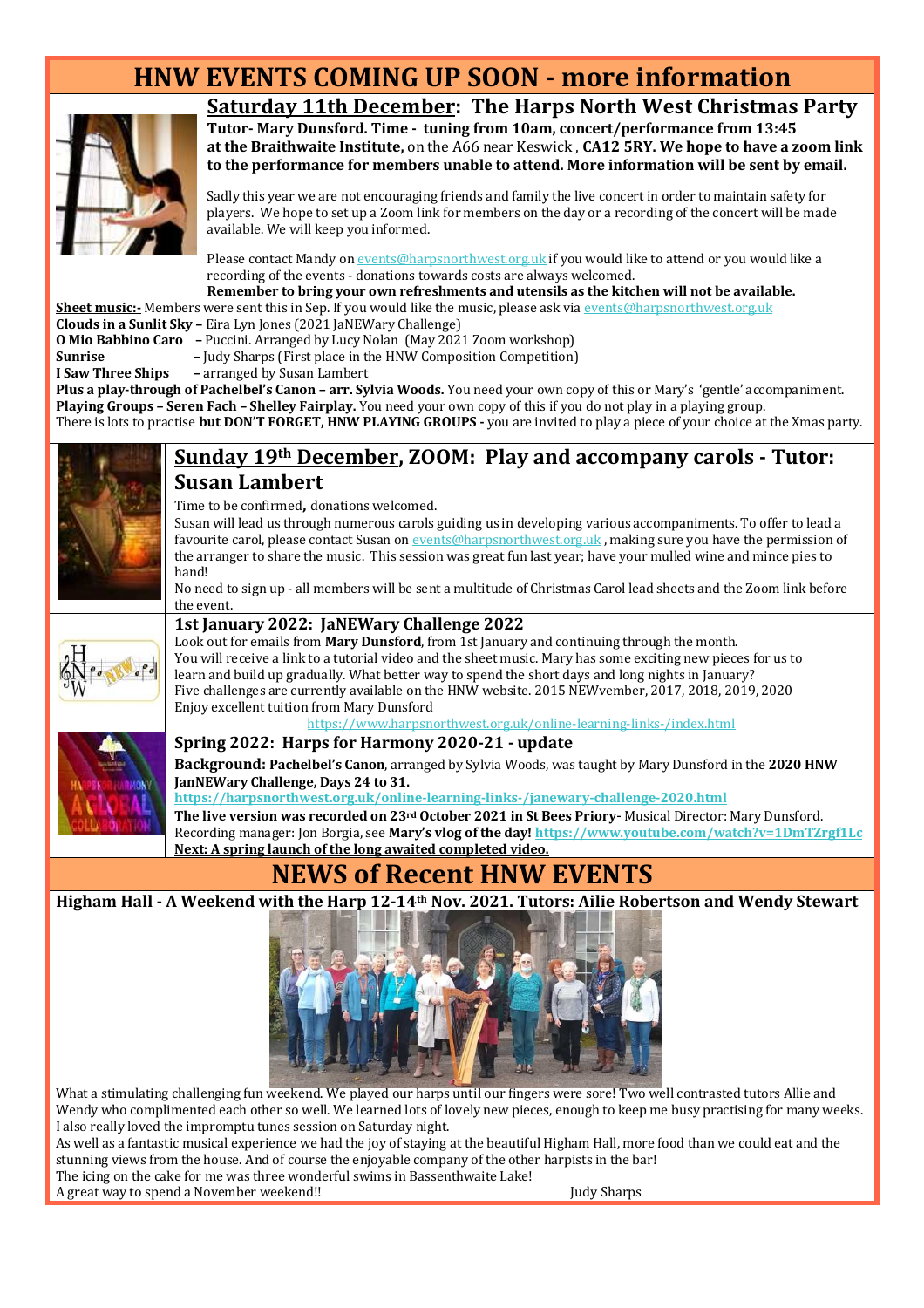## **HNW EVENTS COMING UP SOON - more information**



### **Saturday 11th December: The Harps North West Christmas Party**

**Tutor- Mary Dunsford. Time - tuning from 10am, concert/performance from 13:45 at the Braithwaite Institute,** on the A66 near Keswick , **CA12 5RY. We hope to have a zoom link to the performance for members unable to attend. More information will be sent by email.** 

Sadly this year we are not encouraging friends and family the live concert in order to maintain safety for players. We hope to set up a Zoom link for members on the day or a recording of the concert will be made available. We will keep you informed.

Please contact Mandy on events@harpsnorthwest.org.uk if you would like to attend or you would like a recording of the events - donations towards costs are always welcomed.

**Remember to bring your own refreshments and utensils as the kitchen will not be available. Sheet music:**- Members were sent this in Sep. If you would like the music, please ask via events@harpsnorthwest.org.uk **Clouds in a Sunlit Sky –** Eira Lyn Jones (2021 JaNEWary Challenge)

- 
- **O Mio Babbino Caro** Puccini. Arranged by Lucy Nolan (May 2021 Zoom workshop) **Sunrise –** Judy Sharps (First place in the HNW Composition Competition)
- 
- **I Saw Three Ships** arranged by Susan Lambert

**Plus a play-through of Pachelbel's Canon – arr. Sylvia Woods.** You need your own copy of this or Mary's 'gentle' accompaniment. **Playing Groups – Seren Fach – Shelley Fairplay.** You need your own copy of this if you do not play in a playing group. There is lots to practise **but DON'T FORGET, HNW PLAYING GROUPS -** you are invited to play a piece of your choice at the Xmas party.



### **Sunday 19th December, ZOOM: Play and accompany carols - Tutor: Susan Lambert**

Time to be confirmed**,** donations welcomed.

Susan will lead us through numerous carols guiding us in developing various accompaniments. To offer to lead a favourite carol, please contact Susan on events@harpsnorthwest.org.uk , making sure you have the permission of the arranger to share the music. This session was great fun last year; have your mulled wine and mince pies to hand!

No need to sign up - all members will be sent a multitude of Christmas Carol lead sheets and the Zoom link before the event.



### **1st January 2022: JaNEWary Challenge 2022**

Look out for emails from **Mary Dunsford**, from 1st January and continuing through the month. You will receive a link to a tutorial video and the sheet music. Mary has some exciting new pieces for us to learn and build up gradually. What better way to spend the short days and long nights in January? Five challenges are currently available on the HNW website. 2015 NEWvember, 2017, 2018, 2019, 2020 Enjoy excellent tuition from Mary Dunsford

https://www.harpsnorthwest.org.uk/online-learning-links-/index.html

### **Spring 2022: Harps for Harmony 2020-21 - update**

**Background: Pachelbel's Canon**, arranged by Sylvia Woods, was taught by Mary Dunsford in the **2020 HNW JanNEWary Challenge, Days 24 to 31.** 

**https://harpsnorthwest.org.uk/online-learning-links-/janewary-challenge-2020.html**

**The live version was recorded on 23rd October 2021 in St Bees Priory**- Musical Director: Mary Dunsford. Recording manager: Jon Borgia, see **Mary's vlog of the day! https://www.youtube.com/watch?v=1DmTZrgf1Lc Next: A spring launch of the long awaited completed video.** 

### **NEWS of Recent HNW EVENTS**

**Higham Hall - A Weekend with the Harp 12-14th Nov. 2021. Tutors: Ailie Robertson and Wendy Stewart**



What a stimulating challenging fun weekend. We played our harps until our fingers were sore! Two well contrasted tutors Allie and Wendy who complimented each other so well. We learned lots of lovely new pieces, enough to keep me busy practising for many weeks. I also really loved the impromptu tunes session on Saturday night.

As well as a fantastic musical experience we had the joy of staying at the beautiful Higham Hall, more food than we could eat and the stunning views from the house. And of course the enjoyable company of the other harpists in the bar!

The icing on the cake for me was three wonderful swims in Bassenthwaite Lake!

A great way to spend a November weekend!! Judy Sharps Judy Sharps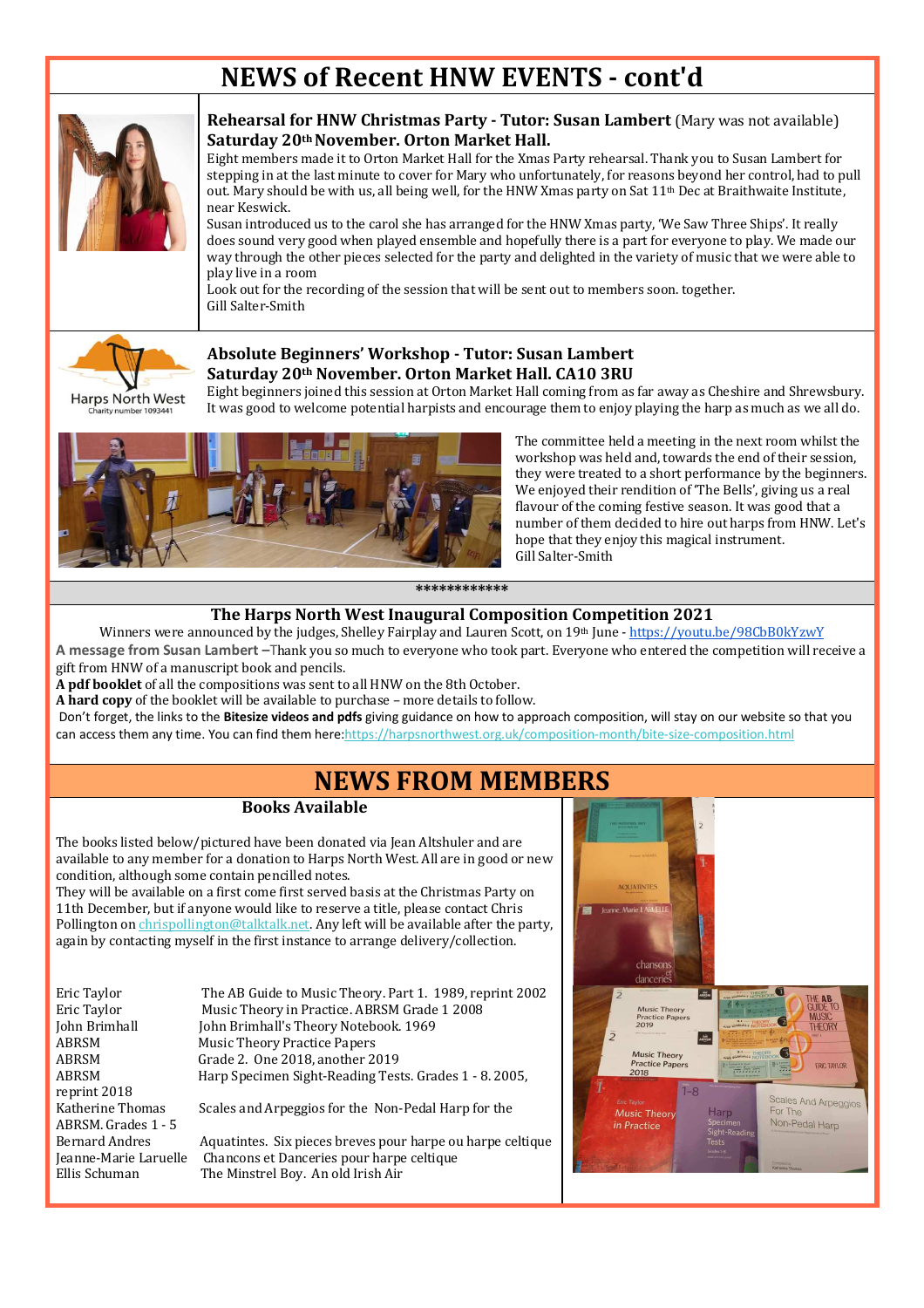## **NEWS of Recent HNW EVENTS - cont'd**



### **Rehearsal for HNW Christmas Party - Tutor: Susan Lambert** (Mary was not available) **Saturday 20th November. Orton Market Hall.**

Eight members made it to Orton Market Hall for the Xmas Party rehearsal. Thank you to Susan Lambert for stepping in at the last minute to cover for Mary who unfortunately, for reasons beyond her control, had to pull out. Mary should be with us, all being well, for the HNW Xmas party on Sat  $11<sup>th</sup>$  Dec at Braithwaite Institute, near Keswick.

Susan introduced us to the carol she has arranged for the HNW Xmas party, 'We Saw Three Ships'. It really does sound very good when played ensemble and hopefully there is a part for everyone to play. We made our way through the other pieces selected for the party and delighted in the variety of music that we were able to play live in a room

Look out for the recording of the session that will be sent out to members soon. together. Gill Salter-Smith



### **Absolute Beginners' Workshop - Tutor: Susan Lambert Saturday 20th November. Orton Market Hall. CA10 3RU**

Eight beginners joined this session at Orton Market Hall coming from as far away as Cheshire and Shrewsbury. It was good to welcome potential harpists and encourage them to enjoy playing the harp as much as we all do.



The committee held a meeting in the next room whilst the workshop was held and, towards the end of their session, they were treated to a short performance by the beginners. We enjoyed their rendition of 'The Bells', giving us a real flavour of the coming festive season. It was good that a number of them decided to hire out harps from HNW. Let's hope that they enjoy this magical instrument. Gill Salter-Smith

#### **\*\*\*\*\*\*\*\*\*\*\*\***

### **The Harps North West Inaugural Composition Competition 2021**

Winners were announced by the judges, Shelley Fairplay and Lauren Scott, on 19th June - https://youtu.be/98CbB0kYzwY **A message from Susan Lambert –**Thank you so much to everyone who took part. Everyone who entered the competition will receive a gift from HNW of a manuscript book and pencils.

**A pdf booklet** of all the compositions was sent to all HNW on the 8th October.

**A hard copy** of the booklet will be available to purchase – more details to follow.

Don't forget, the links to the **Bitesize videos and pdfs** giving guidance on how to approach composition, will stay on our website so that you can access them any time. You can find them here:https://harpsnorthwest.org.uk/composition-month/bite-size-composition.html

### **NEWS FROM MEMBERS**

### **Books Available**

The books listed below/pictured have been donated via Jean Altshuler and are available to any member for a donation to Harps North West. All are in good or new condition, although some contain pencilled notes.

They will be available on a first come first served basis at the Christmas Party on 11th December, but if anyone would like to reserve a title, please contact Chris Pollington on chrispollington@talktalk.net. Any left will be available after the party, again by contacting myself in the first instance to arrange delivery/collection.

reprint 2018 ABRSM. Grades 1 - 5

Eric Taylor The AB Guide to Music Theory. Part 1. 1989, reprint 2002<br>Eric Taylor Music Theory in Practice. ABRSM Grade 1 2008 Eric Taylor Music Theory in Practice. ABRSM Grade 1 2008<br>
Iohn Brimhall Mohn Brimhall's Theory Notebook. 1969 John Brimhall John Brimhall's Theory Notebook. 1969<br>ABRSM Music Theory Practice Papers **Music Theory Practice Papers** ABRSM Grade 2. One 2018, another 2019 ABRSM Harp Specimen Sight-Reading Tests. Grades 1 - 8. 2005,

Katherine Thomas Scales and Arpeggios for the Non-Pedal Harp for the

Bernard Andres Aquatintes. Six pieces breves pour harpe ou harpe celtique Jeanne-Marie Laruelle Chancons et Danceries pour harpe celtique Ellis Schuman The Minstrel Boy. An old Irish Air

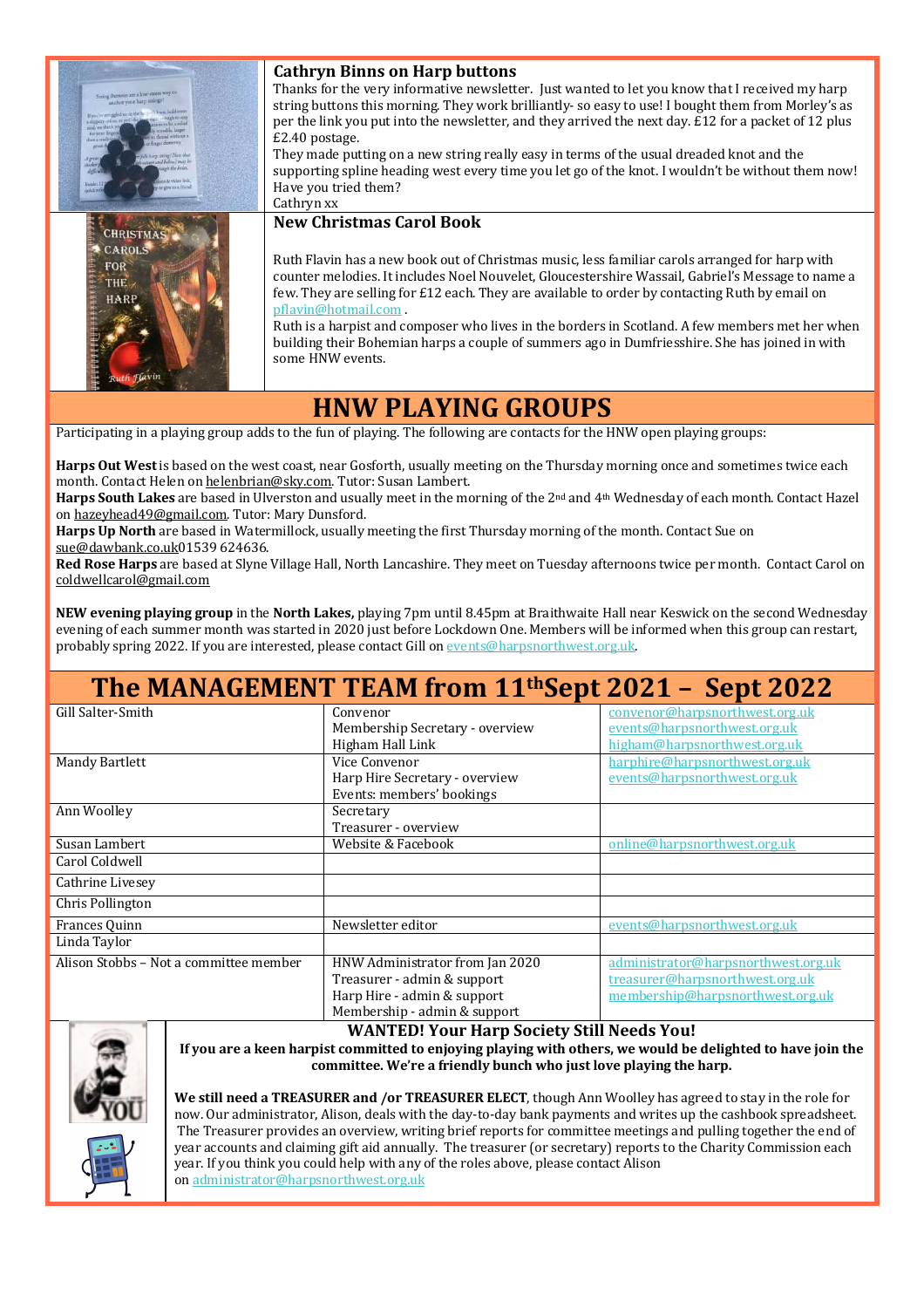| String Buttons are a low-stress way to<br>anchor your harp strings<br>If you've struggled to sig the he<br>finger detrerity<br>GAI have arring? Note that<br>weave and below) may be<br>e give to a frier | <b>Cathryn Binns on Harp buttons</b><br>Thanks for the very informative newsletter. Just wanted to let you know that I received my harp<br>string buttons this morning. They work brilliantly- so easy to use! I bought them from Morley's as<br>per the link you put into the newsletter, and they arrived the next day. $E12$ for a packet of 12 plus<br>£2.40 postage.<br>They made putting on a new string really easy in terms of the usual dreaded knot and the<br>supporting spline heading west every time you let go of the knot. I wouldn't be without them now!<br>Have you tried them?<br>Cathryn xx |
|-----------------------------------------------------------------------------------------------------------------------------------------------------------------------------------------------------------|------------------------------------------------------------------------------------------------------------------------------------------------------------------------------------------------------------------------------------------------------------------------------------------------------------------------------------------------------------------------------------------------------------------------------------------------------------------------------------------------------------------------------------------------------------------------------------------------------------------|
| <b>CHRISTMAS</b><br><b>CAROLS</b><br><b>FOR</b><br>THE.<br>HARP<br>uth Flavin                                                                                                                             | <b>New Christmas Carol Book</b><br>Ruth Flavin has a new book out of Christmas music, less familiar carols arranged for harp with<br>counter melodies. It includes Noel Nouvelet, Gloucestershire Wassail, Gabriel's Message to name a<br>few. They are selling for £12 each. They are available to order by contacting Ruth by email on<br>pflavin@hotmail.com<br>Ruth is a harpist and composer who lives in the borders in Scotland. A few members met her when<br>building their Bohemian harps a couple of summers ago in Dumfriesshire. She has joined in with<br>some HNW events.                         |

### **HNW PLAYING GROUPS**

Participating in a playing group adds to the fun of playing. The following are contacts for the HNW open playing groups:

**Harps Out West** is based on the west coast, near Gosforth, usually meeting on the Thursday morning once and sometimes twice each month. Contact Helen on helenbrian@sky.com. Tutor: Susan Lambert.

**Harps South Lakes** are based in Ulverston and usually meet in the morning of the 2nd and 4th Wednesday of each month. Contact Hazel on hazeyhead49@gmail.com. Tutor: Mary Dunsford.

**Harps Up North** are based in Watermillock, usually meeting the first Thursday morning of the month. Contact Sue on sue@dawbank.co.uk01539 624636.

**Red Rose Harps** are based at Slyne Village Hall, North Lancashire. They meet on Tuesday afternoons twice per month. Contact Carol on coldwellcarol@gmail.com

**NEW evening playing group** in the **North Lakes,** playing 7pm until 8.45pm at Braithwaite Hall near Keswick on the second Wednesday evening of each summer month was started in 2020 just before Lockdown One. Members will be informed when this group can restart, probably spring 2022. If you are interested, please contact Gill on events@harpsnorthwest.org.uk.

## **The MANAGEMENT TEAM from 11thSept 2021 – Sept 2022**

| Gill Salter-Smith                      | Convenor                        | convenor@harpsnorthwest.org.uk      |
|----------------------------------------|---------------------------------|-------------------------------------|
|                                        | Membership Secretary - overview | events@harpsnorthwest.org.uk        |
|                                        | Higham Hall Link                | higham@harpsnorthwest.org.uk        |
| Mandy Bartlett                         | Vice Convenor                   | harphire@harpsnorthwest.org.uk      |
|                                        | Harp Hire Secretary - overview  | events@harpsnorthwest.org.uk        |
|                                        | Events: members' bookings       |                                     |
| Ann Woolley                            | Secretary                       |                                     |
|                                        | Treasurer - overview            |                                     |
| Susan Lambert                          | Website & Facebook              | online@harpsnorthwest.org.uk        |
| Carol Coldwell                         |                                 |                                     |
| Cathrine Livesey                       |                                 |                                     |
| Chris Pollington                       |                                 |                                     |
| Frances Ouinn                          | Newsletter editor               | events@harpsnorthwest.org.uk        |
| Linda Taylor                           |                                 |                                     |
| Alison Stobbs - Not a committee member | HNW Administrator from Jan 2020 | administrator@harpsnorthwest.org.uk |
|                                        | Treasurer - admin & support     | treasurer@harpsnorthwest.org.uk     |
|                                        | Harp Hire - admin & support     | membership@harpsnorthwest.org.uk    |
|                                        | Membership - admin & support    |                                     |



**WANTED! Your Harp Society Still Needs You! If you are a keen harpist committed to enjoying playing with others, we would be delighted to have join the committee. We're a friendly bunch who just love playing the harp.** 

**We still need a TREASURER and /or TREASURER ELECT**, though Ann Woolley has agreed to stay in the role for now. Our administrator, Alison, deals with the day-to-day bank payments and writes up the cashbook spreadsheet. The Treasurer provides an overview, writing brief reports for committee meetings and pulling together the end of year accounts and claiming gift aid annually. The treasurer (or secretary) reports to the Charity Commission each year. If you think you could help with any of the roles above, please contact Alison on administrator@harpsnorthwest.org.uk